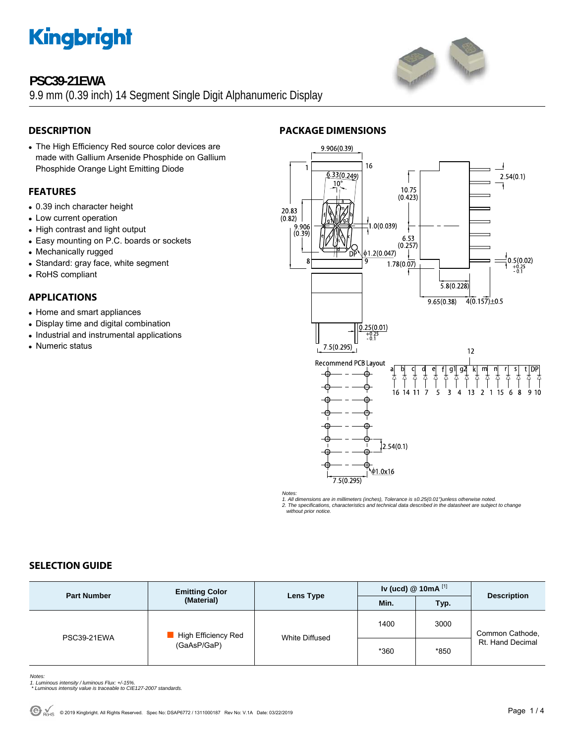## **PSC39-21EWA**

9.9 mm (0.39 inch) 14 Segment Single Digit Alphanumeric Display

### **DESCRIPTION**

• The High Efficiency Red source color devices are made with Gallium Arsenide Phosphide on Gallium Phosphide Orange Light Emitting Diode

### **FEATURES**

- 0.39 inch character height
- Low current operation
- High contrast and light output
- Easy mounting on P.C. boards or sockets
- Mechanically rugged
- Standard: gray face, white segment
- RoHS compliant

#### **APPLICATIONS**

- Home and smart appliances
- Display time and digital combination
- Industrial and instrumental applications
- Numeric status



#### *Notes:*

1. All dimensions are in millimeters (inches), Tolerance is ±0.25(0.01")unless otherwise noted.<br>2. The specifications, characteristics and technical data described in the datasheet are subject to change<br>- without prior not

#### **SELECTION GUIDE**

| <b>Part Number</b> | <b>Emitting Color</b><br>(Material) | Lens Type      | Iv (ucd) $@$ 10mA $^{[1]}$ |      | <b>Description</b>                  |
|--------------------|-------------------------------------|----------------|----------------------------|------|-------------------------------------|
|                    |                                     |                | Min.                       | Typ. |                                     |
| PSC39-21EWA        | High Efficiency Red<br>(GaAsP/GaP)  | White Diffused | 1400                       | 3000 | Common Cathode,<br>Rt. Hand Decimal |
|                    |                                     |                | *360                       | *850 |                                     |

*Notes:* 

- *1. Luminous intensity / luminous Flux: +/-15%. \* Luminous intensity value is traceable to CIE127-2007 standards.*
-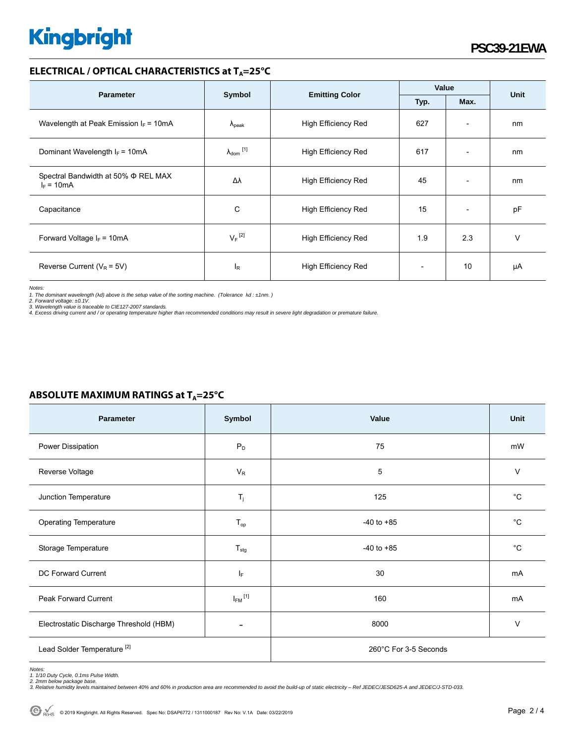#### **ELECTRICAL / OPTICAL CHARACTERISTICS at T<sub>A</sub>=25°C**

|                                                     | Symbol                         |                            | Value |                              |      |
|-----------------------------------------------------|--------------------------------|----------------------------|-------|------------------------------|------|
| <b>Parameter</b>                                    |                                | <b>Emitting Color</b>      | Typ.  | Max.                         | Unit |
| Wavelength at Peak Emission $I_F = 10mA$            | $\Lambda_{\rm peak}$           | <b>High Efficiency Red</b> | 627   | $\overline{\phantom{a}}$     | nm   |
| Dominant Wavelength $I_F = 10mA$                    | $\lambda_{dom}$ <sup>[1]</sup> | <b>High Efficiency Red</b> | 617   | $\overline{\phantom{0}}$     | nm   |
| Spectral Bandwidth at 50% Φ REL MAX<br>$I_F = 10mA$ | Δλ                             | <b>High Efficiency Red</b> | 45    | $\qquad \qquad \blacksquare$ | nm   |
| Capacitance                                         | C                              | <b>High Efficiency Red</b> | 15    | $\overline{\phantom{0}}$     | pF   |
| Forward Voltage $I_F$ = 10mA                        | $V_F$ <sup>[2]</sup>           | <b>High Efficiency Red</b> | 1.9   | 2.3                          | v    |
| Reverse Current ( $V_R$ = 5V)                       | $I_R$                          | <b>High Efficiency Red</b> |       | 10                           | μA   |

*Notes:* 

1. The dominant wavelength (λd) above is the setup value of the sorting machine. (Tolerance λd : ±1nm. )<br>2. Forward voltage: ±0.1V.<br>3. Wavelength value is traceable to CIE127-2007 standards.<br>4. Excess driving current and

#### **ABSOLUTE MAXIMUM RATINGS at T<sub>A</sub>=25°C**

| Parameter                               | Symbol                  | Value                 | Unit         |  |
|-----------------------------------------|-------------------------|-----------------------|--------------|--|
| Power Dissipation                       | $P_D$                   | 75                    | mW           |  |
| Reverse Voltage                         | $V_R$                   | 5                     | $\vee$       |  |
| Junction Temperature                    | $T_j$                   | 125                   | $^{\circ}C$  |  |
| <b>Operating Temperature</b>            | $T_{op}$                | $-40$ to $+85$        | $^{\circ}C$  |  |
| Storage Temperature                     | $T_{\text{stg}}$        | $-40$ to $+85$        | $^{\circ}$ C |  |
| DC Forward Current                      | IF.                     | 30                    | mA           |  |
| Peak Forward Current                    | $I_{FM}$ <sup>[1]</sup> | 160                   | mA           |  |
| Electrostatic Discharge Threshold (HBM) |                         | 8000                  | V            |  |
| Lead Solder Temperature <sup>[2]</sup>  |                         | 260°C For 3-5 Seconds |              |  |

*Notes: 1. 1/10 Duty Cycle, 0.1ms Pulse Width.* 

*2. 2mm below package base. 3. Relative humidity levels maintained between 40% and 60% in production area are recommended to avoid the build-up of static electricity – Ref JEDEC/JESD625-A and JEDEC/J-STD-033.*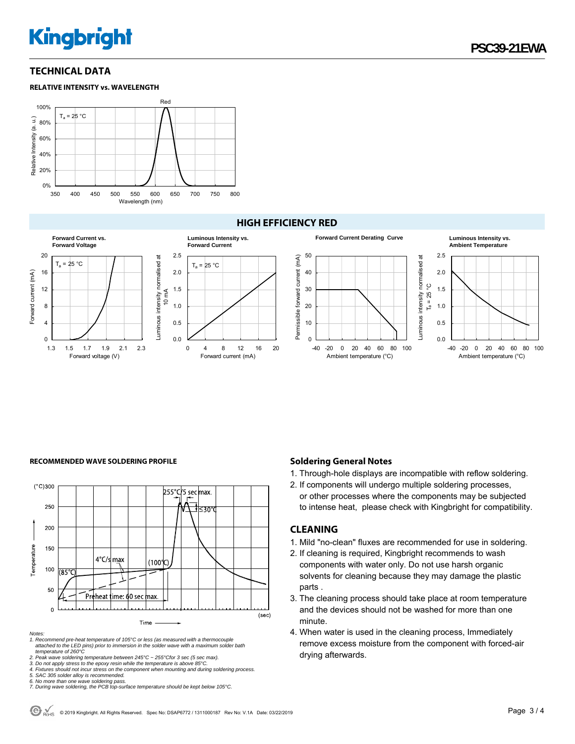#### **TECHNICAL DATA**





#### **HIGH EFFICIENCY RED**



#### RECOMMENDED WAVE SOLDERING PROFILE **Soldering General Notes Soldering General Notes**



*Notes:* 

*1. Recommend pre-heat temperature of 105°C or less (as measured with a thermocouple attached to the LED pins) prior to immersion in the solder wave with a maximum solder bath temperature of 260°C* 

*2. Peak wave soldering temperature between 245°C ~ 255°Cfor 3 sec (5 sec max).* 

*3. Do not apply stress to the epoxy resin while the temperature is above 85°C.* 

*4. Fixtures should not incur stress on the component when mounting and during soldering process. 5. SAC 305 solder alloy is recommended.* 

1. Through-hole displays are incompatible with reflow soldering.

2. If components will undergo multiple soldering processes, or other processes where the components may be subjected to intense heat, please check with Kingbright for compatibility.

#### **CLEANING**

- 1. Mild "no-clean" fluxes are recommended for use in soldering.
- 2. If cleaning is required, Kingbright recommends to wash components with water only. Do not use harsh organic solvents for cleaning because they may damage the plastic parts .
- 3. The cleaning process should take place at room temperature and the devices should not be washed for more than one minute.
- 4. When water is used in the cleaning process, Immediately remove excess moisture from the component with forced-air drying afterwards.

*<sup>6.</sup> No more than one wave soldering pass. 7. During wave soldering, the PCB top-surface temperature should be kept below 105°C.*